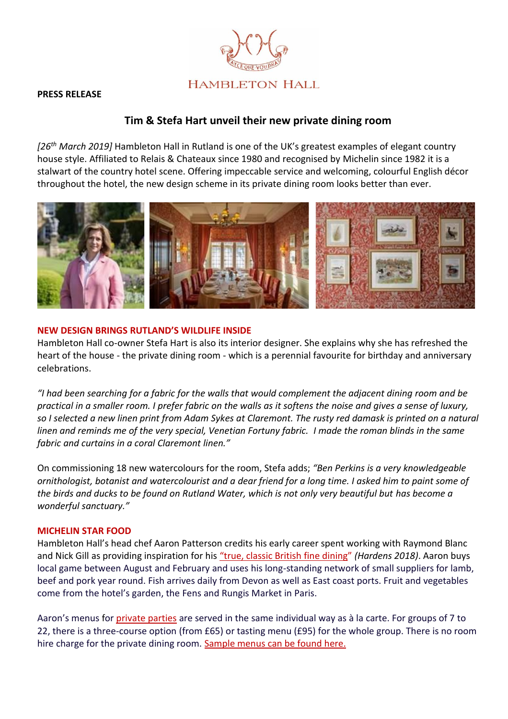# **HAMBLETON HALL**

#### **PRESS RELEASE**

## **Tim & Stefa Hart unveil their new private dining room**

*[26th March 2019]* Hambleton Hall in Rutland is one of the UK's greatest examples of elegant country house style. Affiliated to Relais & Chateaux since 1980 and recognised by Michelin since 1982 it is a stalwart of the country hotel scene. Offering impeccable service and welcoming, colourful English décor throughout the hotel, the new design scheme in its private dining room looks better than ever.



#### **NEW DESIGN BRINGS RUTLAND'S WILDLIFE INSIDE**

Hambleton Hall co-owner Stefa Hart is also its interior designer. She explains why she has refreshed the heart of the house - the private dining room - which is a perennial favourite for birthday and anniversary celebrations.

*"I had been searching for a fabric for the walls that would complement the adjacent dining room and be practical in a smaller room. I prefer fabric on the walls as it softens the noise and gives a sense of luxury, so I selected a new linen print from Adam Sykes at Claremont. The rusty red damask is printed on a natural linen and reminds me of the very special, Venetian Fortuny fabric. I made the roman blinds in the same fabric and curtains in a coral Claremont linen."* 

On commissioning 18 new watercolours for the room, Stefa adds; *"Ben Perkins is a very knowledgeable ornithologist, botanist and watercolourist and a dear friend for a long time. I asked him to paint some of the birds and ducks to be found on Rutland Water, which is not only very beautiful but has become a wonderful sanctuary."*

#### **MICHELIN STAR FOOD**

Hambleton Hall's head chef Aaron Patterson credits his early career spent working with Raymond Blanc and Nick Gill as providing inspiration for his ["true, classic British fi](https://www.hambletonhall.com/in-the-kitchen-with-aaron-patterson/)ne dining" *(Hardens 2018)*. Aaron buys local game between August and February and uses his long-standing network of small suppliers for lamb, beef and pork year round. Fish arrives daily from Devon as well as East coast ports. Fruit and vegetables come from the hotel's garden, the Fens and Rungis Market in Paris.

Aaron's menus for *private parties* are served in the same individual way as à la carte. For groups of 7 to 22, there is a three-course option (from £65) or tasting menu (£95) for the whole group. There is no room hire charge for the private dining room. [Sample menus can be found here.](https://www.hambletonhall.com/wp-content/uploads/2019/01/Party-Menus-January-2019.pdf)